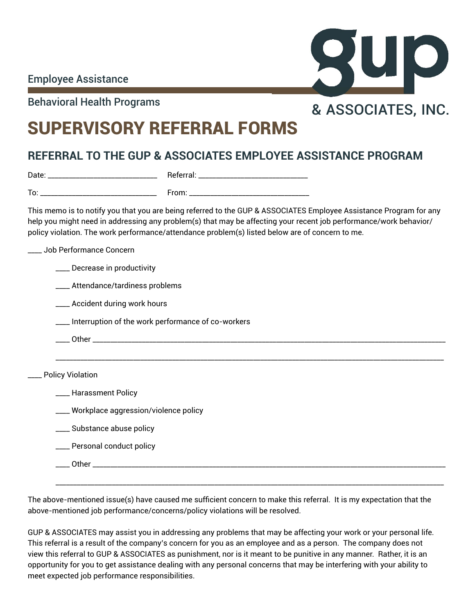

Behavioral Health Programs **8 ASSOCIATES, INC.** 

# SUPERVISORY REFERRAL FORMS

## **REFERRAL TO THE GUP & ASSOCIATES EMPLOYEE ASSISTANCE PROGRAM**

| Date:                              | Referral:            |
|------------------------------------|----------------------|
|                                    |                      |
| To:<br>__<br>____<br>______<br>___ | $T$ rams<br>________ |

This memo is to notify you that you are being referred to the GUP & ASSOCIATES Employee Assistance Program for any help you might need in addressing any problem(s) that may be affecting your recent job performance/work behavior/ policy violation. The work performance/attendance problem(s) listed below are of concern to me.

\_\_\_\_\_\_\_\_\_\_\_\_\_\_\_\_\_\_\_\_\_\_\_\_\_\_\_\_\_\_\_\_\_\_\_\_\_\_\_\_\_\_\_\_\_\_\_\_\_\_\_\_\_\_\_\_\_\_\_\_\_\_\_\_\_\_\_\_\_\_\_\_\_\_\_\_\_\_\_\_\_\_\_\_\_\_\_\_\_\_\_\_\_\_\_\_\_\_\_\_\_\_\_\_\_\_\_\_\_\_

\_\_\_\_ Job Performance Concern

\_\_\_\_ Decrease in productivity

\_\_\_\_ Attendance/tardiness problems

\_\_\_\_ Accident during work hours

\_\_\_\_ Interruption of the work performance of co-workers

\_\_\_\_ Other \_\_\_\_\_\_\_\_\_\_\_\_\_\_\_\_\_\_\_\_\_\_\_\_\_\_\_\_\_\_\_\_\_\_\_\_\_\_\_\_\_\_\_\_\_\_\_\_\_\_\_\_\_\_\_\_\_\_\_\_\_\_\_\_\_\_\_\_\_\_\_\_\_\_\_\_\_\_\_\_\_\_\_\_\_\_\_\_\_\_\_\_\_\_\_\_\_\_\_\_

Policy Violation

**\_\_\_\_** Harassment Policy

\_\_\_\_ Workplace aggression/violence policy

\_\_\_\_ Substance abuse policy

\_\_\_\_ Personal conduct policy

\_\_\_\_ Other \_\_\_\_\_\_\_\_\_\_\_\_\_\_\_\_\_\_\_\_\_\_\_\_\_\_\_\_\_\_\_\_\_\_\_\_\_\_\_\_\_\_\_\_\_\_\_\_\_\_\_\_\_\_\_\_\_\_\_\_\_\_\_\_\_\_\_\_\_\_\_\_\_\_\_\_\_\_\_\_\_\_\_\_\_\_\_\_\_\_\_\_\_\_\_\_\_\_\_\_

The above-mentioned issue(s) have caused me sufficient concern to make this referral. It is my expectation that the above-mentioned job performance/concerns/policy violations will be resolved.

\_\_\_\_\_\_\_\_\_\_\_\_\_\_\_\_\_\_\_\_\_\_\_\_\_\_\_\_\_\_\_\_\_\_\_\_\_\_\_\_\_\_\_\_\_\_\_\_\_\_\_\_\_\_\_\_\_\_\_\_\_\_\_\_\_\_\_\_\_\_\_\_\_\_\_\_\_\_\_\_\_\_\_\_\_\_\_\_\_\_\_\_\_\_\_\_\_\_\_\_\_\_\_\_\_\_\_\_\_\_

GUP & ASSOCIATES may assist you in addressing any problems that may be affecting your work or your personal life. This referral is a result of the company's concern for you as an employee and as a person. The company does not view this referral to GUP & ASSOCIATES as punishment, nor is it meant to be punitive in any manner. Rather, it is an opportunity for you to get assistance dealing with any personal concerns that may be interfering with your ability to meet expected job performance responsibilities.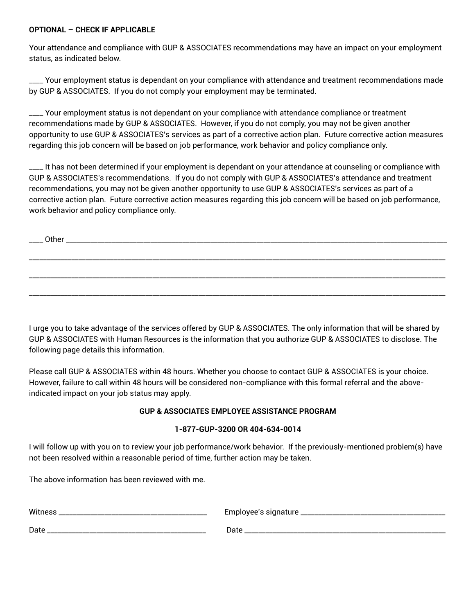### **OPTIONAL – CHECK IF APPLICABLE**

Your attendance and compliance with GUP & ASSOCIATES recommendations may have an impact on your employment status, as indicated below.

\_\_\_\_ Your employment status is dependant on your compliance with attendance and treatment recommendations made by GUP & ASSOCIATES. If you do not comply your employment may be terminated.

\_\_\_\_ Your employment status is not dependant on your compliance with attendance compliance or treatment recommendations made by GUP & ASSOCIATES. However, if you do not comply, you may not be given another opportunity to use GUP & ASSOCIATES's services as part of a corrective action plan. Future corrective action measures regarding this job concern will be based on job performance, work behavior and policy compliance only.

It has not been determined if your employment is dependant on your attendance at counseling or compliance with GUP & ASSOCIATES's recommendations. If you do not comply with GUP & ASSOCIATES's attendance and treatment recommendations, you may not be given another opportunity to use GUP & ASSOCIATES's services as part of a corrective action plan. Future corrective action measures regarding this job concern will be based on job performance, work behavior and policy compliance only.

\_\_\_\_\_\_\_\_\_\_\_\_\_\_\_\_\_\_\_\_\_\_\_\_\_\_\_\_\_\_\_\_\_\_\_\_\_\_\_\_\_\_\_\_\_\_\_\_\_\_\_\_\_\_\_\_\_\_\_\_\_\_\_\_\_\_\_\_\_\_\_\_\_\_\_\_\_\_\_\_\_\_\_\_\_\_\_\_\_\_\_\_\_\_\_\_\_\_\_\_\_\_\_\_\_\_\_\_\_\_\_\_\_\_\_\_\_\_

\_\_\_\_\_\_\_\_\_\_\_\_\_\_\_\_\_\_\_\_\_\_\_\_\_\_\_\_\_\_\_\_\_\_\_\_\_\_\_\_\_\_\_\_\_\_\_\_\_\_\_\_\_\_\_\_\_\_\_\_\_\_\_\_\_\_\_\_\_\_\_\_\_\_\_\_\_\_\_\_\_\_\_\_\_\_\_\_\_\_\_\_\_\_\_\_\_\_\_\_\_\_\_\_\_\_\_\_\_\_\_\_\_\_\_\_\_\_

\_\_\_\_\_\_\_\_\_\_\_\_\_\_\_\_\_\_\_\_\_\_\_\_\_\_\_\_\_\_\_\_\_\_\_\_\_\_\_\_\_\_\_\_\_\_\_\_\_\_\_\_\_\_\_\_\_\_\_\_\_\_\_\_\_\_\_\_\_\_\_\_\_\_\_\_\_\_\_\_\_\_\_\_\_\_\_\_\_\_\_\_\_\_\_\_\_\_\_\_\_\_\_\_\_\_\_\_\_\_\_\_\_\_\_\_\_\_

\_\_\_\_ Other \_\_\_\_\_\_\_\_\_\_\_\_\_\_\_\_\_\_\_\_\_\_\_\_\_\_\_\_\_\_\_\_\_\_\_\_\_\_\_\_\_\_\_\_\_\_\_\_\_\_\_\_\_\_\_\_\_\_\_\_\_\_\_\_\_\_\_\_\_\_\_\_\_\_\_\_\_\_\_\_\_\_\_\_\_\_\_\_\_\_\_\_\_\_\_\_\_\_\_\_\_\_\_\_\_\_\_\_

I urge you to take advantage of the services offered by GUP & ASSOCIATES. The only information that will be shared by GUP & ASSOCIATES with Human Resources is the information that you authorize GUP & ASSOCIATES to disclose. The following page details this information.

Please call GUP & ASSOCIATES within 48 hours. Whether you choose to contact GUP & ASSOCIATES is your choice. However, failure to call within 48 hours will be considered non-compliance with this formal referral and the aboveindicated impact on your job status may apply.

## **GUP & ASSOCIATES EMPLOYEE ASSISTANCE PROGRAM**

### **1-877-GUP-3200 OR 404-634-0014**

I will follow up with you on to review your job performance/work behavior. If the previously-mentioned problem(s) have not been resolved within a reasonable period of time, further action may be taken.

The above information has been reviewed with me.

| Witne | Employee's |
|-------|------------|
| ט ט   | signature  |
| Date  | Date       |